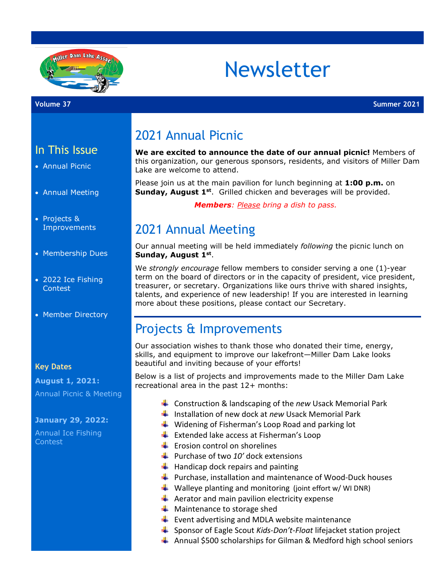

# Newsletter

### In This Issue

- Annual Picnic
- Annual Meeting
- Projects & **Improvements**
- Membership Dues
- 2022 Ice Fishing Contest
- Member Directory

#### **Key Dates**

**August 1, 2021:** Annual Picnic & Meeting

#### **January 29, 2022:**

Annual Ice Fishing Contest

# 2021 Annual Picnic

**We are excited to announce the date of our annual picnic!** Members of this organization, our generous sponsors, residents, and visitors of Miller Dam Lake are welcome to attend.

Please join us at the main pavilion for lunch beginning at **1:00 p.m.** on **Sunday, August 1st.** Grilled chicken and beverages will be provided.

 *Members: Please bring a dish to pass.*

# 2021 Annual Meeting

Our annual meeting will be held immediately *following* the picnic lunch on **Sunday, August 1st**.

We *strongly encourage* fellow members to consider serving a one (1)-year term on the board of directors or in the capacity of president, vice president, treasurer, or secretary. Organizations like ours thrive with shared insights, talents, and experience of new leadership! If you are interested in learning more about these positions, please contact our Secretary.

# Projects & Improvements

Our association wishes to thank those who donated their time, energy, skills, and equipment to improve our lakefront—Miller Dam Lake looks beautiful and inviting because of your efforts!

Below is a list of projects and improvements made to the Miller Dam Lake recreational area in the past 12+ months:

- Construction & landscaping of the *new* Usack Memorial Park
- **Installation of new dock at** *new* **Usack Memorial Park**
- $\frac{1}{\sqrt{2}}$  Widening of Fisherman's Loop Road and parking lot
- $\bigstar$  Extended lake access at Fisherman's Loop
- $\bigstar$  Erosion control on shorelines
- Purchase of two 10' dock extensions
- $\bigstar$  Handicap dock repairs and painting
- $\frac{1}{2}$  Purchase, installation and maintenance of Wood-Duck houses
- $\downarrow$  Walleye planting and monitoring (joint effort w/ WI DNR)
- $\leftarrow$  Aerator and main pavilion electricity expense
- $\bigstar$  Maintenance to storage shed
- $\bigstar$  Event advertising and MDLA website maintenance
- Sponsor of Eagle Scout *Kids-Don't-Float* lifejacket station project
- $\ddot{\bullet}$  Annual \$500 scholarships for Gilman & Medford high school seniors